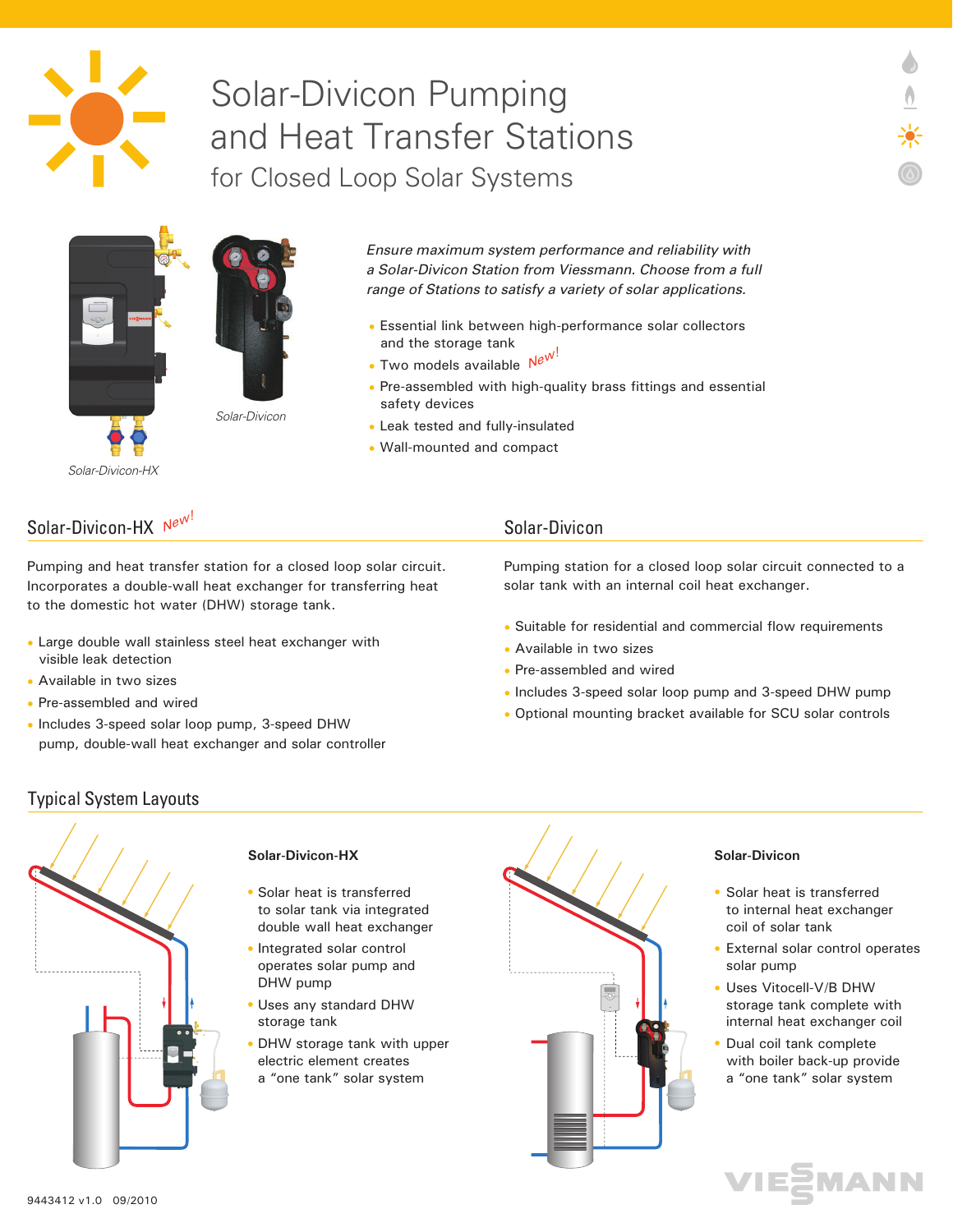

# Solar-Divicon Pumping and Heat Transfer Stations for Closed Loop Solar Systems



*Solar-Divicon-HX*

*Ensure maximum system performance and reliability with a Solar-Divicon Station from Viessmann. Choose from a full range of Stations to satisfy a variety of solar applications.*

- Essential link between high-performance solar collectors and the storage tank
- Two models available  $N^{e^{W}}$
- Pre-assembled with high-quality brass fittings and essential safety devices
- Leak tested and fully-insulated
- Wall-mounted and compact

## Solar-Divicon-HX  $N^{e^{W^!}}$  and the solar-Divicon solar-Divicon

Pumping and heat transfer station for a closed loop solar circuit. Incorporates a double-wall heat exchanger for transferring heat to the domestic hot water (DHW) storage tank.

- Large double wall stainless steel heat exchanger with visible leak detection
- Available in two sizes
- Pre-assembled and wired
- Includes 3-speed solar loop pump, 3-speed DHW pump, double-wall heat exchanger and solar controller

Pumping station for a closed loop solar circuit connected to a solar tank with an internal coil heat exchanger.

- Suitable for residential and commercial flow requirements
- Available in two sizes
- Pre-assembled and wired
- Includes 3-speed solar loop pump and 3-speed DHW pump
- Optional mounting bracket available for SCU solar controls

#### Typical System Layouts



#### **Solar-Divicon-HX**

• Solar heat is transferred to solar tank via integrated double wall heat exchanger

• Integrated solar control operates solar pump and DHW pump

- Uses any standard DHW storage tank
- DHW storage tank with upper electric element creates a "one tank" solar system



#### **Solar-Divicon**

• Solar heat is transferred to internal heat exchanger coil of solar tank

- External solar control operates solar pump
- Uses Vitocell-V/B DHW storage tank complete with internal heat exchanger coil
- Dual coil tank complete with boiler back-up provide a "one tank" solar system •